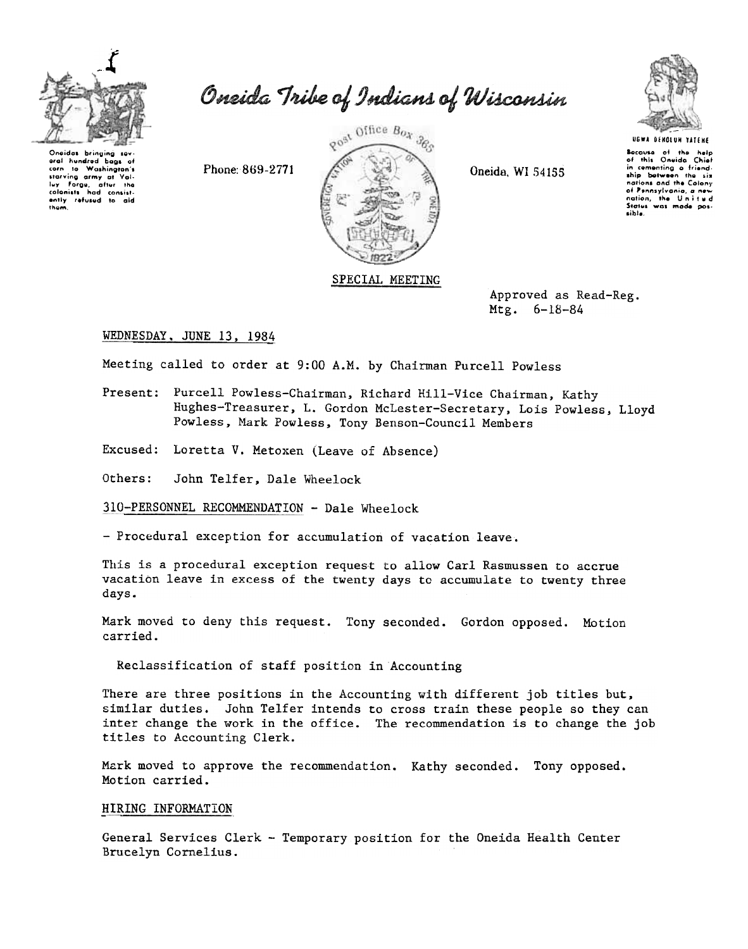

Oneidas bringing sev aral hundred bags of corn to Washington's<br>starving army at Valine<br>luy Forge, after the<br>colonists had consistently refused to aid<br>them. Oneida Tribe of Indians of Wisconsin

Phone: 869-2771



Oneida, WI 54155



Because of the help<br>of this Oneida Chief in cementing a friend-<br>ship between the six nations and the Colony nations and the Colony<br>of Pennsylvania, a new<br>nation, the United<br>Status was made possible.

Approved as Read-Reg. Mtg.  $6-18-84$ 

# WEDNESDAY, JUNE 13, 1984

Meeting called to order at 9:00 A.M. by Chairman Purcell Powless

Present: Purcell Powless-Chairman, Richard Hill-Vice Chairman, Kathy Hughes-Treasurer, L. Gordon McLester-Secretary, Lois Powless, Lloyd Powless, Mark Powless, Tony Benson-Council Members

Excused: Loretta V. Metoxen (Leave of Absence)

John Telfer, Dale Wheelock Others:

310-PERSONNEL RECOMMENDATION - Dale Wheelock

- Procedural exception for accumulation of vacation leave.

This is a procedural exception request to allow Carl Rasmussen to accrue vacation leave in excess of the twenty days to accumulate to twenty three days.

Mark moved to deny this request. Tony seconded. Gordon opposed. Motion carried.

Reclassification of staff position in Accounting

There are three positions in the Accounting with different job titles but, similar duties. John Telfer intends to cross train these people so they can inter change the work in the office. The recommendation is to change the job titles to Accounting Clerk.

Mark moved to approve the recommendation. Kathy seconded. Tony opposed. Motion carried.

# HIRING INFORMATION

General Services Clerk - Temporary position for the Oneida Health Center Brucelyn Cornelius.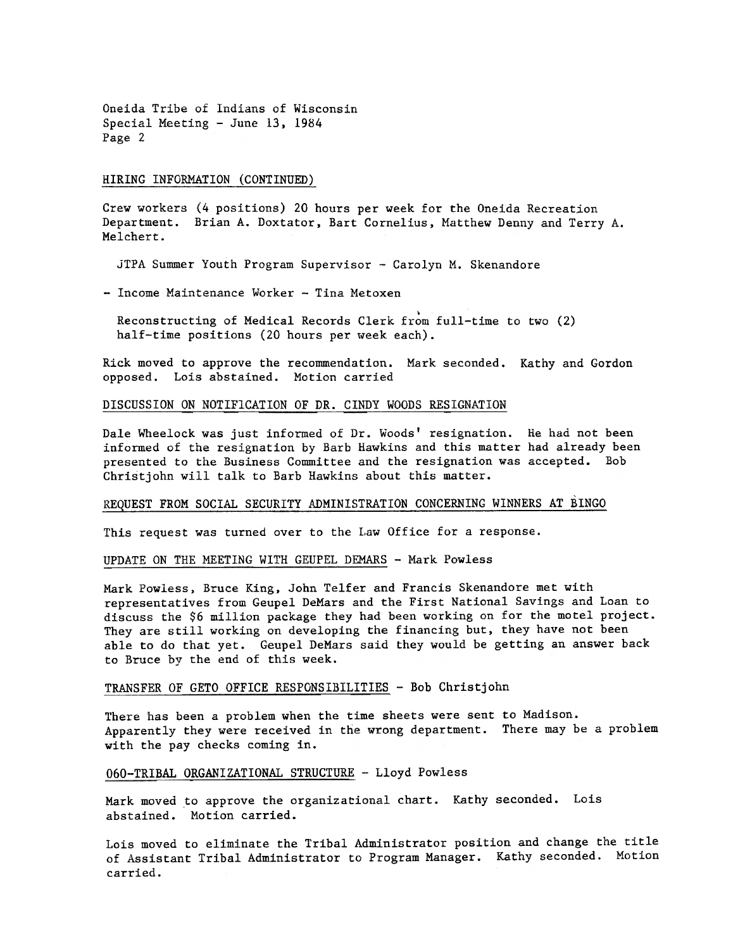Oneida Tribe of Indians of Wisconsin Special Meeting -June 13. 1984 Page 2

#### HIRING INFORMATION (CONTINUED)

Crew workers (4 positions) 20 hours per week for the Oneida Recreation Department. Brian A. Doxtator, Bart Cornelius, Matthew Denny and Terry A. Melchert.

JTPA Summer Youth Program Supervisor - Carolyn M. Skenandore

- Income Maintenance Worker - Tina Metoxen

\ Reconstructing of Medical Records Clerk from full-time to two (2) half-time positions (20 hours per week each).

Rick moved to approve the recommendation. Mark seconded. Kathy and Gordon opposed. Lois abstained. Motion carried

# DISCUSSION ON NOTIFICATION OF DR. CINDY WOODS RESIGNATION

Dale Wheelock was just informed of Dr. Woods' resignation. He had not been informed of the resignation by Barb Hawkins and this matter had already been presented to the Business Committee and the resignation was accepted. Bob Christ john will talk to Barb Hawkins about this matter.

## REQUEST FROM SOCIAL SECURITY ADMINISTRATION CONCERNING WINNERS AT BINGO

This request was turned over to the Law Office for a response.

UPDATE ON THE MEETING WITH GEUPEL DEMARS - Mark Powless

Mark Powless, Bruce King, John Telfer and Francis Skenandore met with representatives from Geupel DeMars and the First National Savings and Loan to discuss the \$6 million package they had been working on for the motel project. They are still working on developing the financing but, they have not been able to do that yet. Geupel DeMars said they would be getting an answer back to Bruce by the end of this week.

## TRANSFER OF GETO OFFICE RESPONSIBILITIES - Bob Christjohn

There has been a problem when the time sheets were sent to Madison. Apparently they were received in the wrong department. There may be a problem with the pay checks coming in.

#### 060-TRIBAL ORGANIZATIONAL STRUCTURE - Lloyd Powless

Mark moved to approve the organizational chart. Kathy seconded. Lois abstained. Motion carried.

Lois moved to eliminate the Tribal Administrator position and change the title of Assistant Tribal Administrator to Program Manager. Kathy seconded. Motion carried.